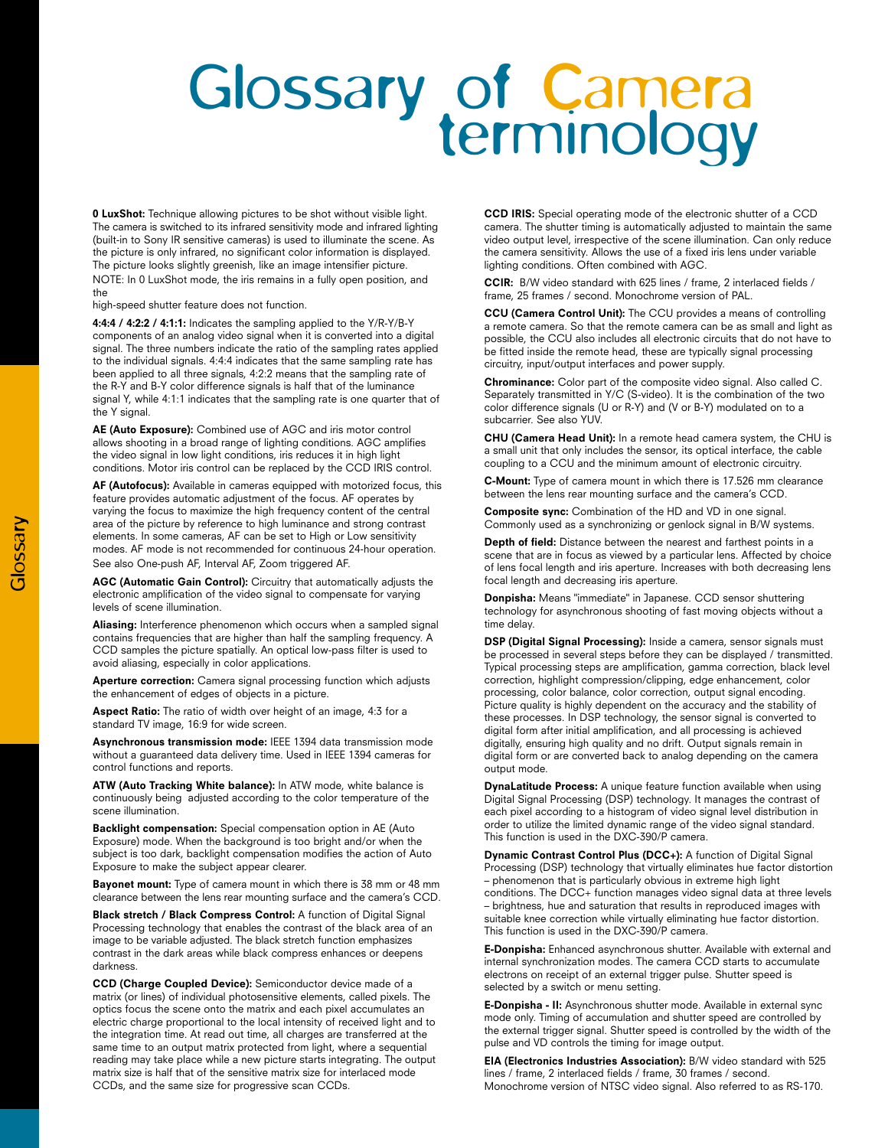## Glossary of Camera<br>terminology

**0 LuxShot:** Technique allowing pictures to be shot without visible light. The camera is switched to its infrared sensitivity mode and infrared lighting (built-in to Sony IR sensitive cameras) is used to illuminate the scene. As the picture is only infrared, no significant color information is displayed. The picture looks slightly greenish, like an image intensifier picture. NOTE: In 0 LuxShot mode, the iris remains in a fully open position, and

high-speed shutter feature does not function.

the

**4:4:4 / 4:2:2 / 4:1:1:** Indicates the sampling applied to the Y/R-Y/B-Y components of an analog video signal when it is converted into a digital signal. The three numbers indicate the ratio of the sampling rates applied to the individual signals. 4:4:4 indicates that the same sampling rate has been applied to all three signals, 4:2:2 means that the sampling rate of the R-Y and B-Y color difference signals is half that of the luminance signal Y, while 4:1:1 indicates that the sampling rate is one quarter that of the Y signal.

**AE (Auto Exposure):** Combined use of AGC and iris motor control allows shooting in a broad range of lighting conditions. AGC amplifies the video signal in low light conditions, iris reduces it in high light conditions. Motor iris control can be replaced by the CCD IRIS control.

**AF (Autofocus):** Available in cameras equipped with motorized focus, this feature provides automatic adjustment of the focus. AF operates by varying the focus to maximize the high frequency content of the central area of the picture by reference to high luminance and strong contrast elements. In some cameras, AF can be set to High or Low sensitivity modes. AF mode is not recommended for continuous 24-hour operation. See also One-push AF, Interval AF, Zoom triggered AF.

**AGC (Automatic Gain Control):** Circuitry that automatically adjusts the electronic amplification of the video signal to compensate for varying levels of scene illumination.

**Aliasing:** Interference phenomenon which occurs when a sampled signal contains frequencies that are higher than half the sampling frequency. A CCD samples the picture spatially. An optical low-pass filter is used to avoid aliasing, especially in color applications.

**Aperture correction:** Camera signal processing function which adjusts the enhancement of edges of objects in a picture.

**Aspect Ratio:** The ratio of width over height of an image, 4:3 for a standard TV image, 16:9 for wide screen.

**Asynchronous transmission mode:** IEEE 1394 data transmission mode without a guaranteed data delivery time. Used in IEEE 1394 cameras for control functions and reports.

**ATW (Auto Tracking White balance):** In ATW mode, white balance is continuously being adjusted according to the color temperature of the scene illumination.

**Backlight compensation:** Special compensation option in AE (Auto Exposure) mode. When the background is too bright and/or when the subject is too dark, backlight compensation modifies the action of Auto Exposure to make the subject appear clearer.

**Bayonet mount:** Type of camera mount in which there is 38 mm or 48 mm clearance between the lens rear mounting surface and the camera's CCD.

**Black stretch / Black Compress Control:** A function of Digital Signal Processing technology that enables the contrast of the black area of an image to be variable adjusted. The black stretch function emphasizes contrast in the dark areas while black compress enhances or deepens darkness.

**CCD (Charge Coupled Device):** Semiconductor device made of a matrix (or lines) of individual photosensitive elements, called pixels. The optics focus the scene onto the matrix and each pixel accumulates an electric charge proportional to the local intensity of received light and to the integration time. At read out time, all charges are transferred at the same time to an output matrix protected from light, where a sequential reading may take place while a new picture starts integrating. The output matrix size is half that of the sensitive matrix size for interlaced mode CCDs, and the same size for progressive scan CCDs.

**CCD IRIS:** Special operating mode of the electronic shutter of a CCD camera. The shutter timing is automatically adjusted to maintain the same video output level, irrespective of the scene illumination. Can only reduce the camera sensitivity. Allows the use of a fixed iris lens under variable lighting conditions. Often combined with AGC.

**CCIR:** B/W video standard with 625 lines / frame, 2 interlaced fields / frame, 25 frames / second. Monochrome version of PAL.

**(Camera Control Unit):** The CCU provides a means of controlling a remote camera. So that the remote camera can be as small and light as possible, the CCU also includes all electronic circuits that do not have to be fitted inside the remote head, these are typically signal processing circuitry, input/output interfaces and power supply.

**Chrominance:** Color part of the composite video signal. Also called C. Separately transmitted in Y/C (S-video). It is the combination of the two color difference signals (U or R-Y) and (V or B-Y) modulated on to a subcarrier. See also YUV.

**CHU (Camera Head Unit):** In a remote head camera system, the CHU is a small unit that only includes the sensor, its optical interface, the cable coupling to a CCU and the minimum amount of electronic circuitry.

**C-Mount:** Type of camera mount in which there is 17.526 mm clearance between the lens rear mounting surface and the camera's CCD.

**Composite sync:** Combination of the HD and VD in one signal. Commonly used as a synchronizing or genlock signal in B/W systems.

**Depth of field:** Distance between the nearest and farthest points in a scene that are in focus as viewed by a particular lens. Affected by choice of lens focal length and iris aperture. Increases with both decreasing lens focal length and decreasing iris aperture.

**Donpisha:** Means "immediate" in Japanese. CCD sensor shuttering technology for asynchronous shooting of fast moving objects without a time delay.

**DSP (Digital Signal Processing):** Inside a camera, sensor signals must be processed in several steps before they can be displayed / transmitted. Typical processing steps are amplification, gamma correction, black level correction, highlight compression/clipping, edge enhancement, color processing, color balance, color correction, output signal encoding. Picture quality is highly dependent on the accuracy and the stability of these processes. In DSP technology, the sensor signal is converted to digital form after initial amplification, and all processing is achieved digitally, ensuring high quality and no drift. Output signals remain in digital form or are converted back to analog depending on the camera output mode.

**DynaLatitude Process:** A unique feature function available when using Digital Signal Processing (DSP) technology. It manages the contrast of each pixel according to a histogram of video signal level distribution in order to utilize the limited dynamic range of the video signal standard. This function is used in the DXC-390/P camera.

**Dynamic Contrast Control Plus (DCC+):** A function of Digital Signal Processing (DSP) technology that virtually eliminates hue factor distortion – phenomenon that is particularly obvious in extreme high light conditions. The DCC+ function manages video signal data at three levels – brightness, hue and saturation that results in reproduced images with suitable knee correction while virtually eliminating hue factor distortion. This function is used in the DXC-390/P camera.

**E-Donpisha:** Enhanced asynchronous shutter. Available with external and internal synchronization modes. The camera CCD starts to accumulate electrons on receipt of an external trigger pulse. Shutter speed is selected by a switch or menu setting.

**E-Donpisha - II:** Asynchronous shutter mode. Available in external sync mode only. Timing of accumulation and shutter speed are controlled by the external trigger signal. Shutter speed is controlled by the width of the pulse and VD controls the timing for image output.

**EIA (Electronics Industries Association):** B/W video standard with 525 lines / frame, 2 interlaced fields / frame, 30 frames / second. Monochrome version of NTSC video signal. Also referred to as RS-170.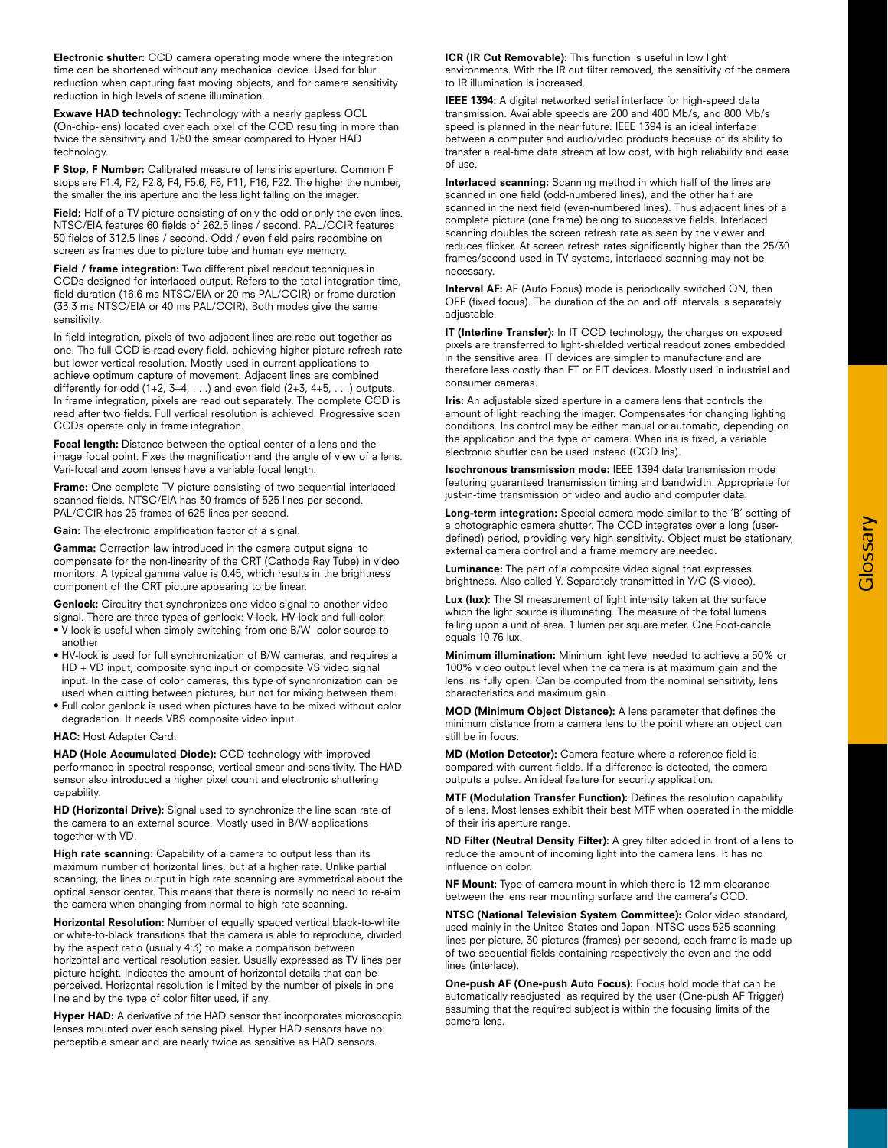**Electronic shutter:** CCD camera operating mode where the integration time can be shortened without any mechanical device. Used for blur reduction when capturing fast moving objects, and for camera sensitivity reduction in high levels of scene illumination.

**Exwave HAD technology:** Technology with a nearly gapless OCL (On-chip-lens) located over each pixel of the CCD resulting in more than twice the sensitivity and 1/50 the smear compared to Hyper HAD technology.

**F Stop, F Number:** Calibrated measure of lens iris aperture. Common F stops are F1.4, F2, F2.8, F4, F5.6, F8, F11, F16, F22. The higher the number, the smaller the iris aperture and the less light falling on the imager.

Field: Half of a TV picture consisting of only the odd or only the even lines. NTSC/EIA features 60 fields of 262.5 lines / second. PAL/CCIR features 50 fields of 312.5 lines / second. Odd / even field pairs recombine on screen as frames due to picture tube and human eye memory.

**Field / frame integration:** Two different pixel readout techniques in CCDs designed for interlaced output. Refers to the total integration time, field duration (16.6 ms NTSC/EIA or 20 ms PAL/CCIR) or frame duration (33.3 ms NTSC/EIA or 40 ms PAL/CCIR). Both modes give the same sensitivity.

In field integration, pixels of two adjacent lines are read out together as one. The full CCD is read every field, achieving higher picture refresh rate but lower vertical resolution. Mostly used in current applications to achieve optimum capture of movement. Adjacent lines are combined differently for odd  $(1+2, 3+4, ...)$  and even field  $(2+3, 4+5, ...)$  outputs. In frame integration, pixels are read out separately. The complete CCD is read after two fields. Full vertical resolution is achieved. Progressive scan CCDs operate only in frame integration.

**Focal length:** Distance between the optical center of a lens and the image focal point. Fixes the magnification and the angle of view of a lens. Vari-focal and zoom lenses have a variable focal length.

**Frame:** One complete TV picture consisting of two sequential interlaced scanned fields. NTSC/EIA has 30 frames of 525 lines per second. PAL/CCIR has 25 frames of 625 lines per second.

**Gain:** The electronic amplification factor of a signal.

**Gamma:** Correction law introduced in the camera output signal to compensate for the non-linearity of the CRT (Cathode Ray Tube) in video monitors. A typical gamma value is 0.45, which results in the brightness component of the CRT picture appearing to be linear.

**Genlock:** Circuitry that synchronizes one video signal to another video signal. There are three types of genlock: V-lock, HV-lock and full color.

- V-lock is useful when simply switching from one B/W color source to another
- HV-lock is used for full synchronization of B/W cameras, and requires a HD + VD input, composite sync input or composite VS video signal input. In the case of color cameras, this type of synchronization can be used when cutting between pictures, but not for mixing between them.
- Full color genlock is used when pictures have to be mixed without color degradation. It needs VBS composite video input.

**HAC:** Host Adapter Card.

**HAD (Hole Accumulated Diode):** CCD technology with improved performance in spectral response, vertical smear and sensitivity. The HAD sensor also introduced a higher pixel count and electronic shuttering capability.

**HD (Horizontal Drive):** Signal used to synchronize the line scan rate of the camera to an external source. Mostly used in B/W applications together with VD.

**High rate scanning:** Capability of a camera to output less than its maximum number of horizontal lines, but at a higher rate. Unlike partial scanning, the lines output in high rate scanning are symmetrical about the optical sensor center. This means that there is normally no need to re-aim the camera when changing from normal to high rate scanning.

**Horizontal Resolution:** Number of equally spaced vertical black-to-white or white-to-black transitions that the camera is able to reproduce, divided by the aspect ratio (usually 4:3) to make a comparison between horizontal and vertical resolution easier. Usually expressed as TV lines per picture height. Indicates the amount of horizontal details that can be perceived. Horizontal resolution is limited by the number of pixels in one line and by the type of color filter used, if any.

**Hyper HAD:** A derivative of the HAD sensor that incorporates microscopic lenses mounted over each sensing pixel. Hyper HAD sensors have no perceptible smear and are nearly twice as sensitive as HAD sensors.

**ICR (IR Cut Removable):** This function is useful in low light environments. With the IR cut filter removed, the sensitivity of the camera to IR illumination is increased.

**IEEE 1394:** A digital networked serial interface for high-speed data transmission. Available speeds are 200 and 400 Mb/s, and 800 Mb/s speed is planned in the near future. IEEE 1394 is an ideal interface between a computer and audio/video products because of its ability to transfer a real-time data stream at low cost, with high reliability and ease of use.

**Interlaced scanning:** Scanning method in which half of the lines are scanned in one field (odd-numbered lines), and the other half are scanned in the next field (even-numbered lines). Thus adjacent lines of a complete picture (one frame) belong to successive fields. Interlaced scanning doubles the screen refresh rate as seen by the viewer and reduces flicker. At screen refresh rates significantly higher than the 25/30 frames/second used in TV systems, interlaced scanning may not be necessary.

**Interval AF:** AF (Auto Focus) mode is periodically switched ON, then OFF (fixed focus). The duration of the on and off intervals is separately adjustable.

**IT (Interline Transfer):** In IT CCD technology, the charges on exposed pixels are transferred to light-shielded vertical readout zones embedded in the sensitive area. IT devices are simpler to manufacture and are therefore less costly than FT or FIT devices. Mostly used in industrial and consumer cameras.

**Iris:** An adjustable sized aperture in a camera lens that controls the amount of light reaching the imager. Compensates for changing lighting conditions. Iris control may be either manual or automatic, depending on the application and the type of camera. When iris is fixed, a variable electronic shutter can be used instead (CCD Iris).

**Isochronous transmission mode:** IEEE 1394 data transmission mode featuring guaranteed transmission timing and bandwidth. Appropriate for just-in-time transmission of video and audio and computer data.

**Long-term integration:** Special camera mode similar to the 'B' setting of a photographic camera shutter. The CCD integrates over a long (userdefined) period, providing very high sensitivity. Object must be stationary, external camera control and a frame memory are needed.

**Luminance:** The part of a composite video signal that expresses brightness. Also called Y. Separately transmitted in Y/C (S-video).

**Lux (lux):** The SI measurement of light intensity taken at the surface which the light source is illuminating. The measure of the total lumens falling upon a unit of area. 1 lumen per square meter. One Foot-candle equals 10.76 lux.

**Minimum illumination:** Minimum light level needed to achieve a 50% or 100% video output level when the camera is at maximum gain and the lens iris fully open. Can be computed from the nominal sensitivity, lens characteristics and maximum gain.

**MOD (Minimum Object Distance):** A lens parameter that defines the minimum distance from a camera lens to the point where an object can still be in focus.

**MD (Motion Detector):** Camera feature where a reference field is compared with current fields. If a difference is detected, the camera outputs a pulse. An ideal feature for security application.

**MTF (Modulation Transfer Function):** Defines the resolution capability of a lens. Most lenses exhibit their best MTF when operated in the middle of their iris aperture range.

**ND Filter (Neutral Density Filter):** A grey filter added in front of a lens to reduce the amount of incoming light into the camera lens. It has no influence on color.

**NF Mount:** Type of camera mount in which there is 12 mm clearance between the lens rear mounting surface and the camera's CCD.

**NTSC (National Television System Committee):** Color video standard, used mainly in the United States and Japan. NTSC uses 525 scanning lines per picture, 30 pictures (frames) per second, each frame is made up of two sequential fields containing respectively the even and the odd lines (interlace).

**One-push AF (One-push Auto Focus):** Focus hold mode that can be automatically readjusted as required by the user (One-push AF Trigger) assuming that the required subject is within the focusing limits of the camera lens.